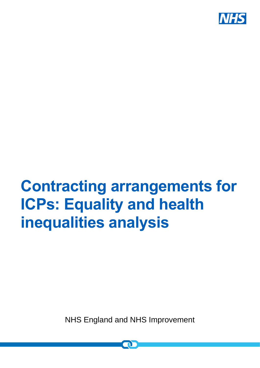

# **Contracting arrangements for ICPs: Equality and health inequalities analysis**

NHS England and NHS Improvement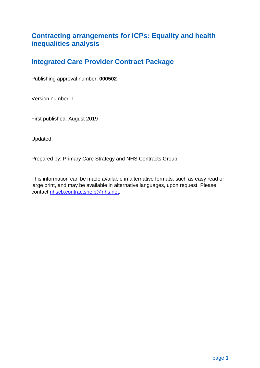## **Contracting arrangements for ICPs: Equality and health inequalities analysis**

# **Integrated Care Provider Contract Package**

Publishing approval number: **000502**

Version number: 1

First published: August 2019

Updated:

Prepared by: Primary Care Strategy and NHS Contracts Group

This information can be made available in alternative formats, such as easy read or large print, and may be available in alternative languages, upon request. Please contact [nhscb.contractshelp@nhs.net.](mailto:nhscb.contractshelp@nhs.net)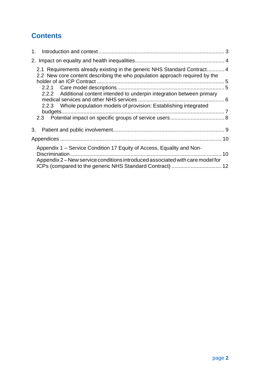# **Contents**

| 2.                                                                                                                                                      |  |
|---------------------------------------------------------------------------------------------------------------------------------------------------------|--|
| 2.1 Requirements already existing in the generic NHS Standard Contract 4<br>2.2 New core content describing the who population approach required by the |  |
|                                                                                                                                                         |  |
| 2.2.2 Additional content intended to underpin integration between primary                                                                               |  |
| 2.2.3 Whole population models of provision: Establishing integrated                                                                                     |  |
|                                                                                                                                                         |  |
| 3.                                                                                                                                                      |  |
|                                                                                                                                                         |  |
| Appendix 1 – Service Condition 17 Equity of Access, Equality and Non-                                                                                   |  |
| Appendix 2 – New service conditions introduced associated with care model for                                                                           |  |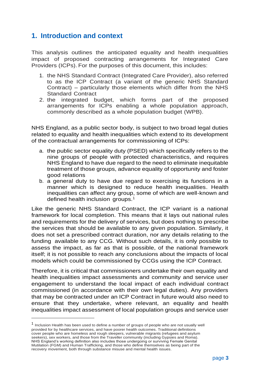## <span id="page-3-0"></span>**1. Introduction and context**

This analysis outlines the anticipated equality and health inequalities impact of proposed contracting arrangements for Integrated Care Providers (ICPs). For the purposes of this document, this includes:

- 1. the NHS Standard Contract (Integrated Care Provider), also referred to as the ICP Contract (a variant of the generic NHS Standard Contract) – particularly those elements which differ from the NHS Standard Contract
- 2. the integrated budget, which forms part of the proposed arrangements for ICPs enabling a whole population approach, commonly described as a whole population budget (WPB).

NHS England, as a public sector body, is subject to two broad legal duties related to equality and health inequalities which extend to its development of the contractual arrangements for commissioning of ICPs:

- a. the public sector equality duty (PSED) which specifically refers to the nine groups of people with protected characteristics, and requires NHS England to have due regard to the need to eliminate inequitable treatment of those groups, advance equality of opportunity and foster good relations
- b. a general duty to have due regard to exercising its functions in a manner which is designed to reduce health inequalities. Health inequalities can affect any group, some of which are well-known and defined health inclusion groups.<sup>1</sup>

Like the generic NHS Standard Contract, the ICP variant is a national framework for local completion. This means that it lays out national rules and requirements for the delivery of services, but does nothing to prescribe the services that should be available to any given population. Similarly, it does not set a prescribed contract duration, nor any details relating to the funding available to any CCG. Without such details, it is only possible to assess the impact, as far as that is possible, of the national framework itself; it is not possible to reach any conclusions about the impacts of local models which could be commissioned by CCGs using the ICP Contract.

Therefore, it is critical that commissioners undertake their own equality and health inequalities impact assessments and community and service user engagement to understand the local impact of each individual contract commissioned (in accordance with their own legal duties). Any providers that may be contracted under an ICP Contract in future would also need to ensure that they undertake, where relevant, an equality and health inequalities impact assessment of local population groups and service user

1

<sup>1</sup> Inclusion Health has been used to define a number of groups of people who are not usually well provided for by healthcare services, and have poorer health outcomes. Traditional definitions cover people who are homeless and rough sleepers, vulnerable migrants (refugees and asylum seekers), sex workers, and those from the Traveller community (including Gypsies and Roma). NHS England's working definition also includes those undergoing or surviving Female Genital Mutilation (FGM) and Human Trafficking, and those who define themselves as being part of the recovery movement, both through substance misuse and mental health issues.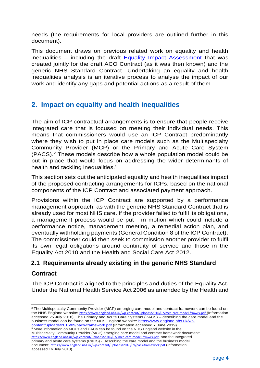needs (the requirements for local providers are outlined further in this document).

This document draws on previous related work on equality and health inequalities – including the draft [Equality Impact Assessment](https://www.england.nhs.uk/wp-content/uploads/2017/08/nhs-std-contract-eia-aug-2017.pdf) that was created jointly for the draft ACO Contract (as it was then known) and the generic NHS Standard Contract. Undertaking an equality and health inequalities analysis is an iterative process to analyse the impact of our work and identify any gaps and potential actions as a result of them.

# <span id="page-4-0"></span>**2. Impact on equality and health inequalities**

The aim of ICP contractual arrangements is to ensure that people receive integrated care that is focused on meeting their individual needs. This means that commissioners would use an ICP Contract predominantly where they wish to put in place care models such as the Multispecialty Community Provider (MCP) or the Primary and Acute Care System (PACS).<sup>2</sup> These models describe how a whole population model could be put in place that would focus on addressing the wider determinants of health and tackling inequalities.<sup>3</sup>

This section sets out the anticipated equality and health inequalities impact of the proposed contracting arrangements for ICPs, based on the national components of the ICP Contract and associated payment approach.

Provisions within the ICP Contract are supported by a performance management approach, as with the generic NHS Standard Contract that is already used for most NHS care. If the provider failed to fulfil its obligations, a management process would be put in motion which could include a performance notice, management meeting, a remedial action plan, and eventually withholding payments (General Condition 8 of the ICP Contract). The commissioner could then seek to commission another provider to fulfil its own legal obligations around continuity of service and those in the Equality Act 2010 and the Health and Social Care Act 2012.

## <span id="page-4-1"></span>**2.1 Requirements already existing in the generic NHS Standard**

## **Contract**

1

The ICP Contract is aligned to the principles and duties of the Equality Act. Under the National Health Service Act 2006 as amended by the Health and

<sup>3</sup> More information on MCPs and PACs can be found on the NHS England website in the Multispecialty Community Provider (MCP) emerging care model and contract framework document: [https://www.england.nhs.uk/wp-content/uploads/2016/07/](https://www.england.nhs.uk/wp-content/uploads/2016/07/mcp-care-model-frmwrk.pdf) [mcp-care-model-frmwrk.pdf](https://www.england.nhs.uk/wp-content/uploads/2016/07/mcp-care-model-frmwrk.pdf), and the Integrated primary and acute care systems (PACS) - Describing the care model and the business model document: <https://www.england.nhs.uk/wp-content/uploads/2016/09/pacs-framework.pdf> (Information accessed 16 July 2018).

 $2$  The Multispecialty Community Provider (MCP) emerging care model and contract framework can be found on the NHS England website: <https://www.england.nhs.uk/wp-content/uploads/2016/07/mcp-care-model-frmwrk.pdf> (Information accessed 25 July 2018). The Primary and Acute Care Systems (PACS) – describing the care model and the business model can be found on the NHS England website: [https://www.england.nhs.uk/wp](https://www.england.nhs.uk/wp-content/uploads/2016/09/pacs-framework.pdf)[content/uploads/2016/09/pacs-framework.pdf](https://www.england.nhs.uk/wp-content/uploads/2016/09/pacs-framework.pdf) (Information accessed 7 June 2019).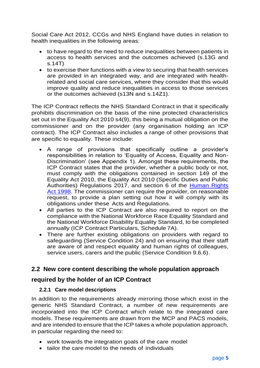Social Care Act 2012, CCGs and NHS England have duties in relation to health inequalities in the following areas:

- to have regard to the need to reduce inequalities between patients in access to health services and the outcomes achieved (s.13G and s.14T)
- to exercise their functions with a view to securing that health services are provided in an integrated way, and are integrated with healthrelated and social care services, where they consider that this would improve quality and reduce inequalities in access to those services or the outcomes achieved (s13N and s.14Z1).

The ICP Contract reflects the NHS Standard Contract in that it specifically prohibits discrimination on the basis of the nine protected characteristics set out in the Equality Act 2010 s4(9), this being a mutual obligation on the commissioner and on the provider (any organisation holding an ICP contract). The ICP Contract also includes a range of other provisions that are specific to equality. These include:

- A range of provisions that specifically outline a provider's responsibilities in relation to 'Equality of Access, Equality and Non-Discrimination' (see Appendix 1). Amongst these requirements, the ICP Contract states that the provider, whether a public body or not, must comply with the obligations contained in section 149 of the Equality Act 2010, the Equality Act 2010 (Specific Duties and Public Authorities) Regulations 2017, and section 6 of the [Human Rights](https://www.legislation.gov.uk/ukpga/1998/42/contents)  [Act 1998.](https://www.legislation.gov.uk/ukpga/1998/42/contents) The commissioner can require the provider, on reasonable request, to provide a plan setting out how it will comply with its obligations under these Acts and Regulations.
- All parties to the ICP Contract are also required to report on the compliance with the National Workforce Race Equality Standard and the National Workforce Disability Equality Standard, to be completed annually (ICP Contract Particulars, Schedule 7A).
- There are further existing obligations on providers with regard to safeguarding (Service Condition 24) and on ensuring that their staff are aware of and respect equality and human rights of colleagues, service users, carers and the public (Service Condition 9.6.6).

## <span id="page-5-0"></span>**2.2 New core content describing the whole population approach**

## **required by the holder of an ICP Contract**

#### <span id="page-5-1"></span>**2.2.1 Care model descriptions**

In addition to the requirements already mirroring those which exist in the generic NHS Standard Contract, a number of new requirements are incorporated into the ICP Contract which relate to the integrated care models. These requirements are drawn from the MCP and PACS models, and are intended to ensure that the ICP takes a whole population approach, in particular regarding the need to:

- work towards the integration goals of the care model
- tailor the care model to the needs of individuals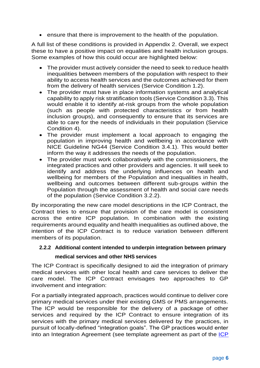• ensure that there is improvement to the health of the population.

A full list of these conditions is provided in Appendix 2. Overall, we expect these to have a positive impact on equalities and health inclusion groups. Some examples of how this could occur are highlighted below:

- The provider must actively consider the need to seek to reduce health inequalities between members of the population with respect to their ability to access health services and the outcomes achieved for them from the delivery of health services (Service Condition 1.2).
- The provider must have in place information systems and analytical capability to apply risk stratification tools (Service Condition 3.3). This would enable it to identify at-risk groups from the whole population (such as people with protected characteristics or from health inclusion groups), and consequently to ensure that its services are able to care for the needs of individuals in their population (Service Condition 4).
- The provider must implement a local approach to engaging the population in improving health and wellbeing in accordance with NICE Guideline NG44 (Service Condition 3.4.1). This would better inform the way it addresses the needs of the population.
- The provider must work collaboratively with the commissioners, the integrated practices and other providers and agencies. It will seek to identify and address the underlying influences on health and wellbeing for members of the Population and inequalities in health, wellbeing and outcomes between different sub-groups within the Population through the assessment of health and social care needs of the population (Service Condition 3.2.2).

By incorporating the new care model descriptions in the ICP Contract, the Contract tries to ensure that provision of the care model is consistent across the entire ICP population. In combination with the existing requirements around equality and health inequalities as outlined above, the intention of the ICP Contract is to reduce variation between different members of its population.

#### <span id="page-6-0"></span>**2.2.2 Additional content intended to underpin integration between primary**

#### **medical services and other NHS services**

The ICP Contract is specifically designed to aid the integration of primary medical services with other local health and care services to deliver the care model. The ICP Contract envisages two approaches to GP involvement and integration:

For a partially integrated approach, practices would continue to deliver core primary medical services under their existing GMS or PMS arrangements. The ICP would be responsible for the delivery of a package of other services and required by the ICP Contract to ensure integration of its services with the primary medical services delivered by the practices, in pursuit of locally-defined "integration goals". The GP practices would enter into an Integration Agreement (see template agreement as part of the [ICP](https://www.england.nhs.uk/nhs-standard-contract/icp-contract-publications/)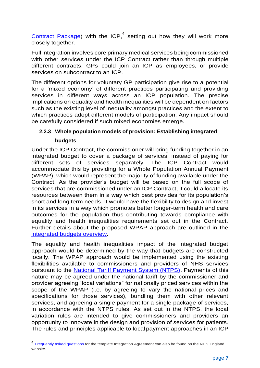[Contract Package\)](https://www.england.nhs.uk/nhs-standard-contract/icp-contract-publications/) with the ICP,<sup>4</sup> setting out how they will work more closely together.

Full integration involves core primary medical services being commissioned with other services under the ICP Contract rather than through multiple different contracts. GPs could join an ICP as employees, or provide services on subcontract to an ICP.

The different options for voluntary GP participation give rise to a potential for a 'mixed economy' of different practices participating and providing services in different ways across an ICP population. The precise implications on equality and health inequalities will be dependent on factors such as the existing level of inequality amongst practices and the extent to which practices adopt different models of participation. Any impact should be carefully considered if such mixed economies emerge.

## <span id="page-7-0"></span>**2.2.3 Whole population models of provision: Establishing integrated budgets**

Under the ICP Contract, the commissioner will bring funding together in an integrated budget to cover a package of services, instead of paying for different sets of services separately. The ICP Contract would accommodate this by providing for a Whole Population Annual Payment (WPAP), which would represent the majority of funding available under the Contract. As the provider's budget will be based on the full scope of services that are commissioned under an ICP Contract, it could allocate its resources between them in a way which best provides for its population's short and long term needs. It would have the flexibility to design and invest in its services in a way which promotes better longer-term health and care outcomes for the population thus contributing towards compliance with equality and health inequalities requirements set out in the Contract. Further details about the proposed WPAP approach are outlined in the [integrated budgets overview.](https://www.england.nhs.uk/nhs-standard-contract/icp-contract-publications/)

The equality and health inequalities impact of the integrated budget approach would be determined by the way that budgets are constructed locally. The WPAP approach would be implemented using the existing flexibilities available to commissioners and providers of NHS services pursuant to the [National Tariff Payment System \(NTPS\).](https://improvement.nhs.uk/resources/national-tariff-1719/) Payments of this nature may be agreed under the national tariff by the commissioner and provider agreeing "local variations" for nationally priced services within the scope of the WPAP (i.e. by agreeing to vary the national prices and specifications for those services), bundling them with other relevant services, and agreeing a single payment for a single package of services, in accordance with the NTPS rules. As set out in the NTPS, the local variation rules are intended to give commissioners and providers an opportunity to innovate in the design and provision of services for patients. The rules and principles applicable to local payment approaches in an ICP

1

<sup>&</sup>lt;sup>4</sup> [Frequently asked questions](https://www.england.nhs.uk/nhs-standard-contract/icp-contract-publications/) for the template Integration Agreement can also be found on the NHS England website.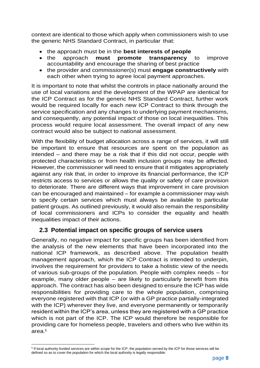context are identical to those which apply when commissioners wish to use the generic NHS Standard Contract, in particular that:

- the approach must be in the **best interests of people**
- the approach **must promote transparency** to improve accountability and encourage the sharing of best practice
- the provider and commissioner(s) must **engage constructively** with each other when trying to agree local payment approaches.

It is important to note that whilst the controls in place nationally around the use of local variations and the development of the WPAP are identical for the ICP Contract as for the generic NHS Standard Contract, further work would be required locally for each new ICP Contract to think through the service specification and any changes to underlying payment mechanisms, and consequently, any potential impact of those on local inequalities. This process would require local assessment. The overall impact of any new contract would also be subject to national assessment.

With the flexibility of budget allocation across a range of services, it will still be important to ensure that resources are spent on the population as intended – and there may be a risk that if this did not occur, people with protected characteristics or from health inclusion groups may be affected. However, the commissioner will need to ensure that it mitigates appropriately against any risk that, in order to improve its financial performance, the ICP restricts access to services or allows the quality or safety of care provision to deteriorate. There are different ways that improvement in care provision can be encouraged and maintained – for example a commissioner may wish to specify certain services which must always be available to particular patient groups. As outlined previously, it would also remain the responsibility of local commissioners and ICPs to consider the equality and health inequalities impact of their actions.

## <span id="page-8-0"></span>**2.3 Potential impact on specific groups of service users**

Generally, no negative impact for specific groups has been identified from the analysis of the new elements that have been incorporated into the national ICP framework, as described above. The population health management approach, which the ICP Contract is intended to underpin, involves the requirement for providers to take a holistic view of the needs of various sub-groups of the population. People with complex needs – for example, many older people – are likely to particularly benefit from this approach. The contract has also been designed to ensure the ICP has wide responsibilities for providing care to the whole population, comprising everyone registered with that ICP (or with a GP practice partially-integrated with the ICP) wherever they live, and everyone permanently or temporarily resident within the ICP's area, unless they are registered with a GP practice which is not part of the ICP. The ICP would therefore be responsible for providing care for homeless people, travelers and others who live within its area. 5

<sup>1</sup> <sup>5</sup> If local authority-funded services are within scope for the ICP, the population served by the ICP for those services will be defined so as to cover the population for which the local authority is legally responsible.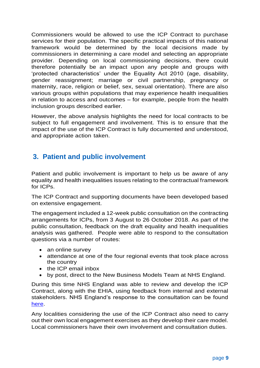Commissioners would be allowed to use the ICP Contract to purchase services for their population. The specific practical impacts of this national framework would be determined by the local decisions made by commissioners in determining a care model and selecting an appropriate provider. Depending on local commissioning decisions, there could therefore potentially be an impact upon any people and groups with 'protected characteristics' under the Equality Act 2010 (age, disability, gender reassignment; marriage or civil partnership, pregnancy or maternity, race, religion or belief, sex, sexual orientation). There are also various groups within populations that may experience health inequalities in relation to access and outcomes – for example, people from the health inclusion groups described earlier.

However, the above analysis highlights the need for local contracts to be subject to full engagement and involvement. This is to ensure that the impact of the use of the ICP Contract is fully documented and understood, and appropriate action taken.

# <span id="page-9-0"></span>**3. Patient and public involvement**

Patient and public involvement is important to help us be aware of any equality and health inequalities issues relating to the contractual framework for ICPs.

The ICP Contract and supporting documents have been developed based on extensive engagement.

The engagement included a 12-week public consultation on the contracting arrangements for ICPs, from 3 August to 26 October 2018. As part of the public consultation, feedback on the draft equality and health inequalities analysis was gathered. People were able to respond to the consultation questions via a number of routes:

- an online survey
- attendance at one of the four regional events that took place across the country
- the ICP email inbox
- by post, direct to the New Business Models Team at NHS England.

During this time NHS England was able to review and develop the ICP Contract, along with the EHIA, using feedback from internal and external stakeholders. NHS England's response to the consultation can be found [here.](https://www.engage.england.nhs.uk/consultation/proposed-contracting-arrangements-for-icps/user_uploads/icp-consultation-response.pdf)

Any localities considering the use of the ICP Contract also need to carry out their own local engagement exercises as they develop their care model. Local commissioners have their own involvement and consultation duties.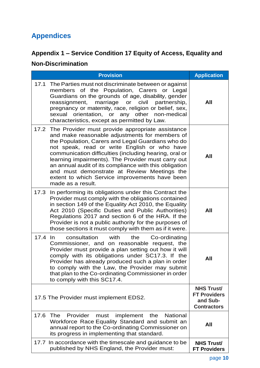# <span id="page-10-0"></span>**Appendices**

# <span id="page-10-1"></span>**Appendix 1 – Service Condition 17 Equity of Access, Equality and**

# **Non-Discrimination**

|         | <b>Provision</b>                                                                                                                                                                                                                                                                                                                                                                                                                                                                                             | <b>Application</b>                                                         |
|---------|--------------------------------------------------------------------------------------------------------------------------------------------------------------------------------------------------------------------------------------------------------------------------------------------------------------------------------------------------------------------------------------------------------------------------------------------------------------------------------------------------------------|----------------------------------------------------------------------------|
| 17.1    | The Parties must not discriminate between or against<br>members of the Population, Carers or Legal<br>Guardians on the grounds of age, disability, gender<br>reassignment, marriage<br>civil<br>partnership,<br>or<br>pregnancy or maternity, race, religion or belief, sex,<br>sexual orientation, or any other non-medical<br>characteristics, except as permitted by Law.                                                                                                                                 | All                                                                        |
|         | 17.2 The Provider must provide appropriate assistance<br>and make reasonable adjustments for members of<br>the Population, Carers and Legal Guardians who do<br>not speak, read or write English or who have<br>communication difficulties (including hearing, oral or<br>learning impairments). The Provider must carry out<br>an annual audit of its compliance with this obligation<br>and must demonstrate at Review Meetings the<br>extent to which Service improvements have been<br>made as a result. | All                                                                        |
| 17.3    | In performing its obligations under this Contract the<br>Provider must comply with the obligations contained<br>in section 149 of the Equality Act 2010, the Equality<br>Act 2010 (Specific Duties and Public Authorities)<br>Regulations 2017 and section 6 of the HRA. If the<br>Provider is not a public authority for the purposes of<br>those sections it must comply with them as if it were.                                                                                                          | All                                                                        |
| 17.4 In | consultation<br>with<br>the<br>Co-ordinating<br>Commissioner, and on reasonable request, the<br>Provider must provide a plan setting out how it will<br>comply with its obligations under SC17.3. If the<br>Provider has already produced such a plan in order<br>to comply with the Law, the Provider may submit<br>that plan to the Co-ordinating Commissioner in order<br>to comply with this SC17.4.                                                                                                     | All                                                                        |
|         | 17.5 The Provider must implement EDS2.                                                                                                                                                                                                                                                                                                                                                                                                                                                                       | <b>NHS Trust/</b><br><b>FT Providers</b><br>and Sub-<br><b>Contractors</b> |
| 17.6    | Provider<br><b>The</b><br>implement<br>the<br><b>National</b><br>must<br>Workforce Race Equality Standard and submit an<br>annual report to the Co-ordinating Commissioner on<br>its progress in implementing that standard.                                                                                                                                                                                                                                                                                 | All                                                                        |
| 17.7    | In accordance with the timescale and guidance to be<br>published by NHS England, the Provider must:                                                                                                                                                                                                                                                                                                                                                                                                          | <b>NHS Trust/</b><br><b>FT Providers</b>                                   |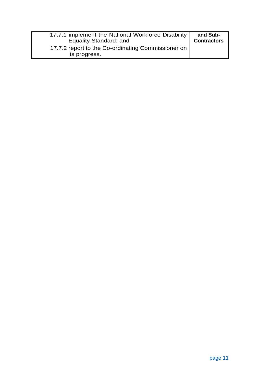| 17.7.1 implement the National Workforce Disability                  | and Sub-           |
|---------------------------------------------------------------------|--------------------|
| <b>Equality Standard; and</b>                                       | <b>Contractors</b> |
| 17.7.2 report to the Co-ordinating Commissioner on<br>its progress. |                    |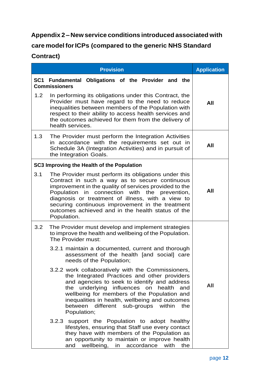## <span id="page-12-0"></span>**Appendix 2 – New service conditions introduced associated with**

# **care model forICPs (compared to the generic NHS Standard**

## **Contract)**

|                 | <b>Provision</b>                                                                                                                                                                                                                                                                                                                                                                               | <b>Application</b> |
|-----------------|------------------------------------------------------------------------------------------------------------------------------------------------------------------------------------------------------------------------------------------------------------------------------------------------------------------------------------------------------------------------------------------------|--------------------|
| SC <sub>1</sub> | Fundamental Obligations of the Provider and the<br><b>Commissioners</b>                                                                                                                                                                                                                                                                                                                        |                    |
| 1.2             | In performing its obligations under this Contract, the<br>Provider must have regard to the need to reduce<br>inequalities between members of the Population with<br>respect to their ability to access health services and<br>the outcomes achieved for them from the delivery of<br>health services.                                                                                          | All                |
| 1.3             | The Provider must perform the Integration Activities<br>in accordance with the requirements set out in<br>Schedule 3A (Integration Activities) and in pursuit of<br>the Integration Goals.                                                                                                                                                                                                     | All                |
|                 | SC3 Improving the Health of the Population                                                                                                                                                                                                                                                                                                                                                     |                    |
| 3.1             | The Provider must perform its obligations under this<br>Contract in such a way as to secure continuous<br>improvement in the quality of services provided to the<br>Population in connection with the prevention,<br>diagnosis or treatment of illness, with a view to<br>securing continuous improvement in the treatment<br>outcomes achieved and in the health status of the<br>Population. | All                |
| 3.2             | The Provider must develop and implement strategies<br>to improve the health and wellbeing of the Population.<br>The Provider must:                                                                                                                                                                                                                                                             |                    |
|                 | 3.2.1 maintain a documented, current and thorough<br>assessment of the health [and social] care<br>needs of the Population;                                                                                                                                                                                                                                                                    |                    |
|                 | 3.2.2 work collaboratively with the Commissioners,<br>the Integrated Practices and other providers<br>and agencies to seek to identify and address<br>underlying influences on<br>health<br>the<br>and<br>wellbeing for members of the Population and<br>inequalities in health, wellbeing and outcomes<br>different<br>between<br>sub-groups<br>within<br>the<br>Population;                  | All                |
|                 | 3.2.3 support the Population to adopt<br>healthy<br>lifestyles, ensuring that Staff use every contact<br>they have with members of the Population as<br>an opportunity to maintain or improve health<br>wellbeing,<br>accordance<br>with<br>the<br>and<br>in                                                                                                                                   |                    |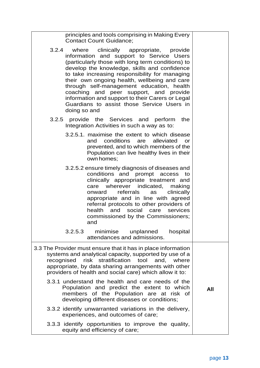|     | principles and tools comprising in Making Every<br><b>Contact Count Guidance;</b>                                                                                                                                                                                                                                                                                                                                                                                                                             |
|-----|---------------------------------------------------------------------------------------------------------------------------------------------------------------------------------------------------------------------------------------------------------------------------------------------------------------------------------------------------------------------------------------------------------------------------------------------------------------------------------------------------------------|
|     | where clinically appropriate,<br>3.2.4<br>provide<br>information and support to Service Users<br>(particularly those with long term conditions) to<br>develop the knowledge, skills and confidence<br>to take increasing responsibility for managing<br>their own ongoing health, wellbeing and care<br>through self-management education, health<br>coaching and peer support, and provide<br>information and support to their Carers or Legal<br>Guardians to assist those Service Users in<br>doing so and |
|     | provide the Services and perform<br>3.2.5<br>the<br>Integration Activities in such a way as to:                                                                                                                                                                                                                                                                                                                                                                                                               |
|     | 3.2.5.1. maximise the extent to which disease<br>conditions<br>and<br>alleviated<br>are<br><b>or</b><br>prevented, and to which members of the<br>Population can live healthy lives in their<br>own homes;                                                                                                                                                                                                                                                                                                    |
|     | 3.2.5.2 ensure timely diagnosis of diseases and<br>conditions and prompt<br>access<br>to<br>clinically appropriate treatment and<br>care wherever indicated, making<br>referrals<br>clinically<br>as<br>onward<br>appropriate and in line with agreed<br>referral protocols to other providers of<br>and social<br>health<br>care<br>services<br>commissioned by the Commissioners;<br>and                                                                                                                    |
|     | 3.2.5.3<br>minimise<br>unplanned<br>hospital<br>attendances and admissions.                                                                                                                                                                                                                                                                                                                                                                                                                                   |
|     | 3.3 The Provider must ensure that it has in place information<br>systems and analytical capacity, supported by use of a<br>risk stratification<br>tool<br>recognised<br>and,<br>where<br>appropriate, by data sharing arrangements with other<br>providers of health and social care) which allow it to:                                                                                                                                                                                                      |
| All | 3.3.1 understand the health and care needs of the<br>Population and predict the extent to which<br>members of the Population are at risk of<br>developing different diseases or conditions;                                                                                                                                                                                                                                                                                                                   |
|     | 3.3.2 identify unwarranted variations in the delivery,<br>experiences, and outcomes of care;                                                                                                                                                                                                                                                                                                                                                                                                                  |
|     | 3.3.3 identify opportunities to improve the quality,<br>equity and efficiency of care;                                                                                                                                                                                                                                                                                                                                                                                                                        |

 $\overline{\phantom{a}}$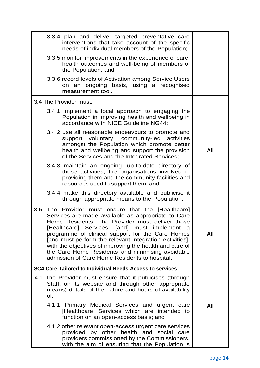| 3.3.4 plan and deliver targeted preventative care<br>interventions that take account of the specific<br>needs of individual members of the Population;                                                                                                                                                                                                                                                                                                                                      |     |
|---------------------------------------------------------------------------------------------------------------------------------------------------------------------------------------------------------------------------------------------------------------------------------------------------------------------------------------------------------------------------------------------------------------------------------------------------------------------------------------------|-----|
| 3.3.5 monitor improvements in the experience of care,<br>health outcomes and well-being of members of<br>the Population; and                                                                                                                                                                                                                                                                                                                                                                |     |
| 3.3.6 record levels of Activation among Service Users<br>on an ongoing basis, using a recognised<br>measurement tool.                                                                                                                                                                                                                                                                                                                                                                       |     |
| 3.4 The Provider must:                                                                                                                                                                                                                                                                                                                                                                                                                                                                      |     |
| 3.4.1 implement a local approach to engaging the<br>Population in improving health and wellbeing in<br>accordance with NICE Guideline NG44;                                                                                                                                                                                                                                                                                                                                                 |     |
| 3.4.2 use all reasonable endeavours to promote and<br>support voluntary, community-led activities<br>amongst the Population which promote better<br>health and wellbeing and support the provision<br>of the Services and the Integrated Services;                                                                                                                                                                                                                                          | All |
| 3.4.3 maintain an ongoing, up-to-date directory of<br>those activities, the organisations involved in<br>providing them and the community facilities and<br>resources used to support them; and                                                                                                                                                                                                                                                                                             |     |
| 3.4.4 make this directory available and publicise it<br>through appropriate means to the Population.                                                                                                                                                                                                                                                                                                                                                                                        |     |
| 3.5 The Provider must ensure that the [Healthcare]<br>Services are made available as appropriate to Care<br>Home Residents. The Provider must deliver those<br>[Healthcare] Services, [and] must implement a<br>programme of clinical support for the Care Homes<br>[and must perform the relevant Integration Activities],<br>with the objectives of improving the health and care of<br>the Care Home Residents and minimising avoidable<br>admission of Care Home Residents to hospital. | All |
| <b>SC4 Care Tailored to Individual Needs Access to services</b>                                                                                                                                                                                                                                                                                                                                                                                                                             |     |
| 4.1 The Provider must ensure that it publicises (through<br>Staff, on its website and through other appropriate<br>means) details of the nature and hours of availability<br>Of:                                                                                                                                                                                                                                                                                                            |     |
| 4.1.1 Primary Medical Services and urgent care<br>[Healthcare] Services which are intended to<br>function on an open-access basis; and                                                                                                                                                                                                                                                                                                                                                      | All |
| 4.1.2 other relevant open-access urgent care services<br>provided by other health and social<br>care<br>providers commissioned by the Commissioners,<br>with the aim of ensuring that the Population is                                                                                                                                                                                                                                                                                     |     |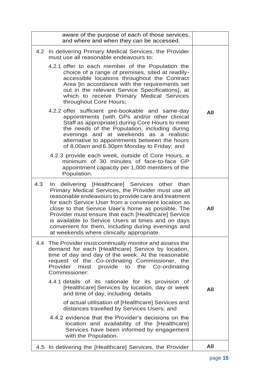|     | aware of the purpose of each of those services,<br>and where and when they can be accessed.                                                                                                                                                                                                                                                                                                                                                                                               |     |
|-----|-------------------------------------------------------------------------------------------------------------------------------------------------------------------------------------------------------------------------------------------------------------------------------------------------------------------------------------------------------------------------------------------------------------------------------------------------------------------------------------------|-----|
|     | 4.2 In delivering Primary Medical Services, the Provider<br>must use all reasonable endeavours to:                                                                                                                                                                                                                                                                                                                                                                                        |     |
|     | 4.2.1 offer to each member of the Population the<br>choice of a range of premises, sited at readily-<br>accessible locations throughout the Contract<br>Area [in accordance with the requirements set<br>out in the relevant Service Specifications], at<br>which to receive Primary Medical Services<br>throughout Core Hours;                                                                                                                                                           |     |
|     | 4.2.2 offer sufficient pre-bookable and same-day<br>appointments (with GPs and/or other clinical<br>Staff as appropriate) during Core Hours to meet<br>the needs of the Population, including during<br>evenings and at weekends as a realistic<br>alternative to appointments between the hours<br>of 8.00am and 6.30pm Monday to Friday; and                                                                                                                                            | All |
|     | 4.2.3 provide each week, outside of Core Hours, a<br>minimum of 30 minutes of face-to-face GP<br>appointment capacity per 1,000 members of the<br>Population.                                                                                                                                                                                                                                                                                                                             |     |
| 4.3 | In delivering [Healthcare] Services other than<br>Primary Medical Services, the Provider must use all<br>reasonable endeavours to provide care and treatment<br>for each Service User from a convenient location as<br>close to that Service User's home as possible. The<br>Provider must ensure that each [Healthcare] Service<br>is available to Service Users at times and on days<br>convenient for them, including during evenings and<br>at weekends where clinically appropriate. | All |
|     | 4.4 The Provider must continually monitor and assess the<br>demand for each [Healthcare] Service by location,<br>time of day and day of the week. At the reasonable<br>request of the Co-ordinating Commissioner, the<br>Provider<br>provide to the<br>Co-ordinating<br>must<br>Commissioner:                                                                                                                                                                                             |     |
|     | 4.4.1 details of its rationale for its provision of<br>[Healthcare] Services by location, day or week<br>and time of day, including details                                                                                                                                                                                                                                                                                                                                               | All |
|     | of actual utilisation of [Healthcare] Services and<br>distances travelled by Services Users; and                                                                                                                                                                                                                                                                                                                                                                                          |     |
|     | 4.4.2 evidence that the Provider's decisions on the<br>location and availability of the [Healthcare]<br>Services have been informed by engagement<br>with the Population.                                                                                                                                                                                                                                                                                                                 |     |
|     | 4.5 In delivering the [Healthcare] Services, the Provider                                                                                                                                                                                                                                                                                                                                                                                                                                 | All |